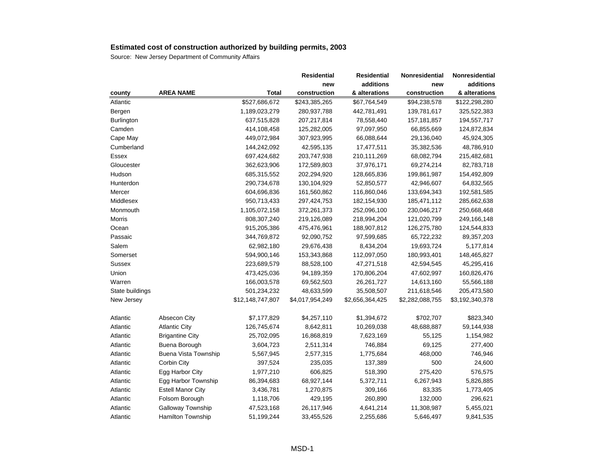|                   |                          |                  | <b>Residential</b> | <b>Residential</b> | Nonresidential  | Nonresidential  |
|-------------------|--------------------------|------------------|--------------------|--------------------|-----------------|-----------------|
|                   |                          |                  | new                | additions          | new             | additions       |
| county            | <b>AREA NAME</b>         | Total            | construction       | & alterations      | construction    | & alterations   |
| Atlantic          |                          | \$527,686,672    | \$243,385,265      | \$67,764,549       | \$94,238,578    | \$122,298,280   |
| Bergen            |                          | 1,189,023,279    | 280,937,788        | 442,781,491        | 139,781,617     | 325,522,383     |
| <b>Burlington</b> |                          | 637,515,828      | 207,217,814        | 78,558,440         | 157, 181, 857   | 194,557,717     |
| Camden            |                          | 414,108,458      | 125,282,005        | 97,097,950         | 66,855,669      | 124,872,834     |
| Cape May          |                          | 449,072,984      | 307,923,995        | 66,088,644         | 29,136,040      | 45,924,305      |
| Cumberland        |                          | 144,242,092      | 42,595,135         | 17,477,511         | 35,382,536      | 48,786,910      |
| Essex             |                          | 697,424,682      | 203,747,938        | 210,111,269        | 68,082,794      | 215,482,681     |
| Gloucester        |                          | 362,623,906      | 172,589,803        | 37,976,171         | 69,274,214      | 82,783,718      |
| Hudson            |                          | 685,315,552      | 202,294,920        | 128,665,836        | 199,861,987     | 154,492,809     |
| Hunterdon         |                          | 290,734,678      | 130,104,929        | 52,850,577         | 42,946,607      | 64,832,565      |
| Mercer            |                          | 604,696,836      | 161,560,862        | 116,860,046        | 133,694,343     | 192,581,585     |
| Middlesex         |                          | 950,713,433      | 297,424,753        | 182,154,930        | 185,471,112     | 285,662,638     |
| Monmouth          |                          | 1,105,072,158    | 372,261,373        | 252,096,100        | 230,046,217     | 250,668,468     |
| Morris            |                          | 808,307,240      | 219,126,089        | 218,994,204        | 121,020,799     | 249,166,148     |
| Ocean             |                          | 915,205,386      | 475,476,961        | 188,907,812        | 126,275,780     | 124,544,833     |
| Passaic           |                          | 344,769,872      | 92,090,752         | 97,599,685         | 65,722,232      | 89,357,203      |
| Salem             |                          | 62,982,180       | 29,676,438         | 8,434,204          | 19,693,724      | 5,177,814       |
| Somerset          |                          | 594,900,146      | 153,343,868        | 112,097,050        | 180,993,401     | 148,465,827     |
| <b>Sussex</b>     |                          | 223,689,579      | 88,528,100         | 47,271,518         | 42,594,545      | 45,295,416      |
| Union             |                          | 473,425,036      | 94,189,359         | 170,806,204        | 47,602,997      | 160,826,476     |
| Warren            |                          | 166,003,578      | 69,562,503         | 26, 261, 727       | 14,613,160      | 55,566,188      |
| State buildings   |                          | 501,234,232      | 48,633,599         | 35,508,507         | 211,618,546     | 205,473,580     |
| New Jersey        |                          | \$12,148,747,807 | \$4,017,954,249    | \$2,656,364,425    | \$2,282,088,755 | \$3,192,340,378 |
| Atlantic          | Absecon City             | \$7,177,829      | \$4,257,110        | \$1,394,672        | \$702,707       | \$823,340       |
| Atlantic          | <b>Atlantic City</b>     | 126,745,674      | 8,642,811          | 10,269,038         | 48,688,887      | 59,144,938      |
| Atlantic          | <b>Brigantine City</b>   | 25,702,095       | 16,868,819         | 7,623,169          | 55,125          | 1,154,982       |
| Atlantic          | Buena Borough            | 3,604,723        | 2,511,314          | 746,884            | 69,125          | 277,400         |
| Atlantic          | Buena Vista Township     | 5,567,945        | 2,577,315          | 1,775,684          | 468,000         | 746,946         |
| Atlantic          | Corbin City              | 397,524          | 235,035            | 137,389            | 500             | 24,600          |
| Atlantic          | Egg Harbor City          | 1,977,210        | 606,825            | 518,390            | 275,420         | 576,575         |
| Atlantic          | Egg Harbor Township      | 86,394,683       | 68,927,144         | 5,372,711          | 6,267,943       | 5,826,885       |
| Atlantic          | <b>Estell Manor City</b> | 3,436,781        | 1,270,875          | 309,166            | 83,335          | 1,773,405       |
| Atlantic          | Folsom Borough           | 1,118,706        | 429,195            | 260,890            | 132,000         | 296,621         |
| Atlantic          | Galloway Township        | 47,523,168       | 26,117,946         | 4,641,214          | 11,308,987      | 5,455,021       |
| Atlantic          | <b>Hamilton Township</b> | 51,199,244       | 33,455,526         | 2,255,686          | 5,646,497       | 9,841,535       |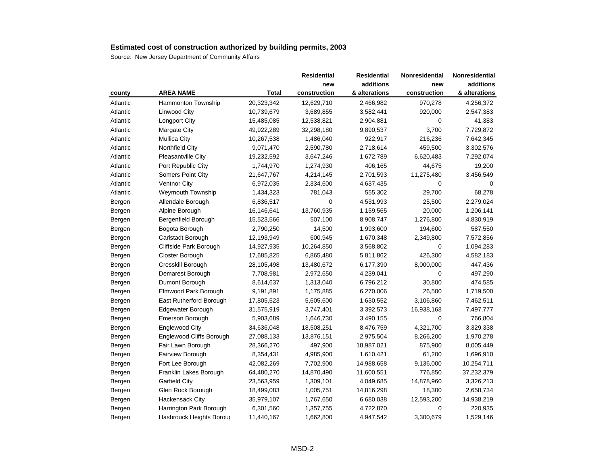|          |                          |              | <b>Residential</b> | <b>Residential</b> | Nonresidential | Nonresidential |
|----------|--------------------------|--------------|--------------------|--------------------|----------------|----------------|
|          |                          |              | new                | additions          | new            | additions      |
| county   | <b>AREA NAME</b>         | <b>Total</b> | construction       | & alterations      | construction   | & alterations  |
| Atlantic | Hammonton Township       | 20,323,342   | 12,629,710         | 2,466,982          | 970,278        | 4,256,372      |
| Atlantic | Linwood City             | 10,739,679   | 3,689,855          | 3,582,441          | 920,000        | 2,547,383      |
| Atlantic | Longport City            | 15,485,085   | 12,538,821         | 2,904,881          | 0              | 41,383         |
| Atlantic | Margate City             | 49,922,289   | 32,298,180         | 9,890,537          | 3,700          | 7,729,872      |
| Atlantic | <b>Mullica City</b>      | 10,267,538   | 1,486,040          | 922,917            | 216,236        | 7,642,345      |
| Atlantic | Northfield City          | 9,071,470    | 2,590,780          | 2,718,614          | 459,500        | 3,302,576      |
| Atlantic | Pleasantville City       | 19,232,592   | 3,647,246          | 1,672,789          | 6,620,483      | 7,292,074      |
| Atlantic | Port Republic City       | 1,744,970    | 1,274,930          | 406,165            | 44,675         | 19,200         |
| Atlantic | Somers Point City        | 21,647,767   | 4,214,145          | 2,701,593          | 11,275,480     | 3,456,549      |
| Atlantic | Ventnor City             | 6,972,035    | 2,334,600          | 4,637,435          | 0              | 0              |
| Atlantic | Weymouth Township        | 1,434,323    | 781,043            | 555,302            | 29,700         | 68,278         |
| Bergen   | Allendale Borough        | 6,836,517    | $\mathbf 0$        | 4,531,993          | 25,500         | 2,279,024      |
| Bergen   | Alpine Borough           | 16,146,641   | 13,760,935         | 1,159,565          | 20,000         | 1,206,141      |
| Bergen   | Bergenfield Borough      | 15,523,566   | 507,100            | 8,908,747          | 1,276,800      | 4,830,919      |
| Bergen   | Bogota Borough           | 2,790,250    | 14,500             | 1,993,600          | 194,600        | 587,550        |
| Bergen   | Carlstadt Borough        | 12,193,949   | 600,945            | 1,670,348          | 2,349,800      | 7,572,856      |
| Bergen   | Cliffside Park Borough   | 14,927,935   | 10,264,850         | 3,568,802          | 0              | 1,094,283      |
| Bergen   | Closter Borough          | 17,685,825   | 6,865,480          | 5,811,862          | 426,300        | 4,582,183      |
| Bergen   | Cresskill Borough        | 28,105,498   | 13,480,672         | 6,177,390          | 8,000,000      | 447,436        |
| Bergen   | Demarest Borough         | 7,708,981    | 2,972,650          | 4,239,041          | $\mathbf 0$    | 497,290        |
| Bergen   | Dumont Borough           | 8,614,637    | 1,313,040          | 6,796,212          | 30,800         | 474,585        |
| Bergen   | Elmwood Park Borough     | 9,191,891    | 1,175,885          | 6,270,006          | 26,500         | 1,719,500      |
| Bergen   | East Rutherford Borough  | 17,805,523   | 5,605,600          | 1,630,552          | 3,106,860      | 7,462,511      |
| Bergen   | Edgewater Borough        | 31,575,919   | 3,747,401          | 3,392,573          | 16,938,168     | 7,497,777      |
| Bergen   | Emerson Borough          | 5,903,689    | 1,646,730          | 3,490,155          | $\Omega$       | 766,804        |
| Bergen   | Englewood City           | 34,636,048   | 18,508,251         | 8,476,759          | 4,321,700      | 3,329,338      |
| Bergen   | Englewood Cliffs Borough | 27,088,133   | 13,876,151         | 2,975,504          | 8,266,200      | 1,970,278      |
| Bergen   | Fair Lawn Borough        | 28,366,270   | 497,900            | 18,987,021         | 875,900        | 8,005,449      |
| Bergen   | Fairview Borough         | 8,354,431    | 4,985,900          | 1,610,421          | 61,200         | 1,696,910      |
| Bergen   | Fort Lee Borough         | 42,082,269   | 7,702,900          | 14,988,658         | 9,136,000      | 10,254,711     |
| Bergen   | Franklin Lakes Borough   | 64,480,270   | 14,870,490         | 11,600,551         | 776,850        | 37,232,379     |
| Bergen   | Garfield City            | 23,563,959   | 1,309,101          | 4,049,685          | 14,878,960     | 3,326,213      |
| Bergen   | Glen Rock Borough        | 18,499,083   | 1,005,751          | 14,816,298         | 18,300         | 2,658,734      |
| Bergen   | <b>Hackensack City</b>   | 35,979,107   | 1,767,650          | 6,680,038          | 12,593,200     | 14,938,219     |
| Bergen   | Harrington Park Borough  | 6,301,560    | 1,357,755          | 4,722,870          | 0              | 220,935        |
| Bergen   | Hasbrouck Heights Boroug | 11,440,167   | 1,662,800          | 4,947,542          | 3,300,679      | 1,529,146      |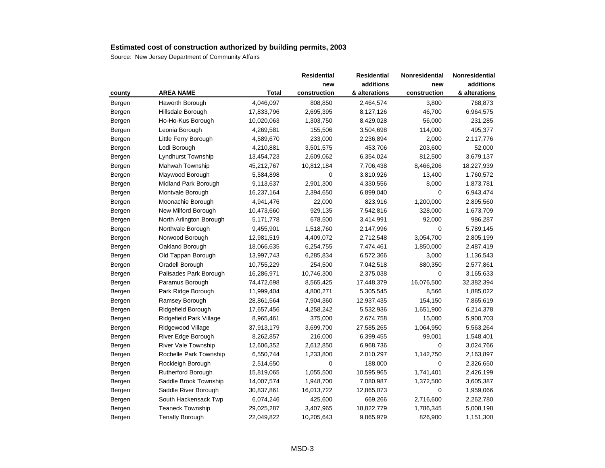|        |                            |              | Residential  | <b>Residential</b> | Nonresidential | Nonresidential |
|--------|----------------------------|--------------|--------------|--------------------|----------------|----------------|
|        |                            |              | new          | additions          | new            | additions      |
| county | <b>AREA NAME</b>           | <b>Total</b> | construction | & alterations      | construction   | & alterations  |
| Bergen | Haworth Borough            | 4,046,097    | 808,850      | 2,464,574          | 3,800          | 768,873        |
| Bergen | Hillsdale Borough          | 17,833,796   | 2,695,395    | 8,127,126          | 46,700         | 6,964,575      |
| Bergen | Ho-Ho-Kus Borough          | 10,020,063   | 1,303,750    | 8,429,028          | 56,000         | 231,285        |
| Bergen | Leonia Borough             | 4,269,581    | 155,506      | 3,504,698          | 114,000        | 495,377        |
| Bergen | Little Ferry Borough       | 4,589,670    | 233,000      | 2,236,894          | 2,000          | 2,117,776      |
| Bergen | Lodi Borough               | 4,210,881    | 3,501,575    | 453,706            | 203,600        | 52,000         |
| Bergen | Lyndhurst Township         | 13,454,723   | 2,609,062    | 6,354,024          | 812,500        | 3,679,137      |
| Bergen | Mahwah Township            | 45,212,767   | 10,812,184   | 7,706,438          | 8,466,206      | 18,227,939     |
| Bergen | Maywood Borough            | 5,584,898    | 0            | 3,810,926          | 13,400         | 1,760,572      |
| Bergen | Midland Park Borough       | 9,113,637    | 2,901,300    | 4,330,556          | 8,000          | 1,873,781      |
| Bergen | Montvale Borough           | 16,237,164   | 2,394,650    | 6,899,040          | 0              | 6,943,474      |
| Bergen | Moonachie Borough          | 4,941,476    | 22,000       | 823,916            | 1,200,000      | 2,895,560      |
| Bergen | New Milford Borough        | 10,473,660   | 929,135      | 7,542,816          | 328,000        | 1,673,709      |
| Bergen | North Arlington Borough    | 5,171,778    | 678,500      | 3,414,991          | 92,000         | 986,287        |
| Bergen | Northvale Borough          | 9,455,901    | 1,518,760    | 2,147,996          | 0              | 5,789,145      |
| Bergen | Norwood Borough            | 12,981,519   | 4,409,072    | 2,712,548          | 3,054,700      | 2,805,199      |
| Bergen | Oakland Borough            | 18,066,635   | 6,254,755    | 7,474,461          | 1,850,000      | 2,487,419      |
| Bergen | Old Tappan Borough         | 13,997,743   | 6,285,834    | 6,572,366          | 3,000          | 1,136,543      |
| Bergen | Oradell Borough            | 10,755,229   | 254,500      | 7,042,518          | 880,350        | 2,577,861      |
| Bergen | Palisades Park Borough     | 16,286,971   | 10,746,300   | 2,375,038          | 0              | 3,165,633      |
| Bergen | Paramus Borough            | 74,472,698   | 8,565,425    | 17,448,379         | 16,076,500     | 32,382,394     |
| Bergen | Park Ridge Borough         | 11,999,404   | 4,800,271    | 5,305,545          | 8,566          | 1,885,022      |
| Bergen | Ramsey Borough             | 28,861,564   | 7,904,360    | 12,937,435         | 154,150        | 7,865,619      |
| Bergen | Ridgefield Borough         | 17,657,456   | 4,258,242    | 5,532,936          | 1,651,900      | 6,214,378      |
| Bergen | Ridgefield Park Village    | 8,965,461    | 375,000      | 2,674,758          | 15,000         | 5,900,703      |
| Bergen | Ridgewood Village          | 37,913,179   | 3,699,700    | 27,585,265         | 1,064,950      | 5,563,264      |
| Bergen | River Edge Borough         | 8,262,857    | 216,000      | 6,399,455          | 99,001         | 1,548,401      |
| Bergen | <b>River Vale Township</b> | 12,606,352   | 2,612,850    | 6,968,736          | 0              | 3,024,766      |
| Bergen | Rochelle Park Township     | 6,550,744    | 1,233,800    | 2,010,297          | 1,142,750      | 2,163,897      |
| Bergen | Rockleigh Borough          | 2,514,650    | $\mathbf 0$  | 188,000            | 0              | 2,326,650      |
| Bergen | Rutherford Borough         | 15,819,065   | 1,055,500    | 10,595,965         | 1,741,401      | 2,426,199      |
| Bergen | Saddle Brook Township      | 14,007,574   | 1,948,700    | 7,080,987          | 1,372,500      | 3,605,387      |
| Bergen | Saddle River Borough       | 30,837,861   | 16,013,722   | 12,865,073         | $\mathbf 0$    | 1,959,066      |
| Bergen | South Hackensack Twp       | 6,074,246    | 425,600      | 669,266            | 2,716,600      | 2,262,780      |
| Bergen | <b>Teaneck Township</b>    | 29,025,287   | 3,407,965    | 18,822,779         | 1,786,345      | 5,008,198      |
| Bergen | <b>Tenafly Borough</b>     | 22,049,822   | 10,205,643   | 9,865,979          | 826,900        | 1,151,300      |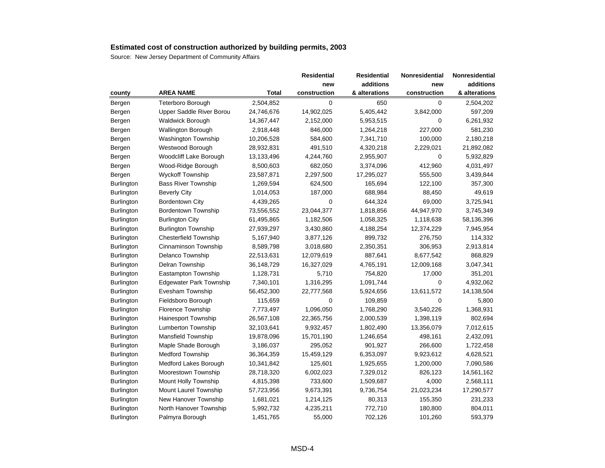|                   |                                |              | Residential  | <b>Residential</b> | <b>Nonresidential</b> | Nonresidential |
|-------------------|--------------------------------|--------------|--------------|--------------------|-----------------------|----------------|
|                   |                                |              | new          | additions          | new                   | additions      |
| county            | <b>AREA NAME</b>               | <b>Total</b> | construction | & alterations      | construction          | & alterations  |
| Bergen            | <b>Teterboro Borough</b>       | 2,504,852    | $\mathbf 0$  | 650                | 0                     | 2,504,202      |
| Bergen            | Upper Saddle River Borou       | 24,746,676   | 14,902,025   | 5,405,442          | 3,842,000             | 597,209        |
| Bergen            | <b>Waldwick Borough</b>        | 14,367,447   | 2,152,000    | 5,953,515          | 0                     | 6,261,932      |
| Bergen            | Wallington Borough             | 2,918,448    | 846,000      | 1,264,218          | 227,000               | 581,230        |
| Bergen            | Washington Township            | 10,206,528   | 584,600      | 7,341,710          | 100,000               | 2,180,218      |
| Bergen            | Westwood Borough               | 28,932,831   | 491,510      | 4,320,218          | 2,229,021             | 21,892,082     |
| Bergen            | Woodcliff Lake Borough         | 13,133,496   | 4,244,760    | 2,955,907          | $\mathbf 0$           | 5,932,829      |
| Bergen            | Wood-Ridge Borough             | 8,500,603    | 682,050      | 3,374,096          | 412,960               | 4,031,497      |
| Bergen            | <b>Wyckoff Township</b>        | 23,587,871   | 2,297,500    | 17,295,027         | 555,500               | 3,439,844      |
| <b>Burlington</b> | <b>Bass River Township</b>     | 1,269,594    | 624,500      | 165,694            | 122,100               | 357,300        |
| Burlington        | <b>Beverly City</b>            | 1,014,053    | 187,000      | 688,984            | 88,450                | 49,619         |
| Burlington        | Bordentown City                | 4,439,265    | 0            | 644,324            | 69,000                | 3,725,941      |
| Burlington        | <b>Bordentown Township</b>     | 73,556,552   | 23,044,377   | 1,818,856          | 44,947,970            | 3,745,349      |
| <b>Burlington</b> | <b>Burlington City</b>         | 61,495,865   | 1,182,506    | 1,058,325          | 1,118,638             | 58,136,396     |
| Burlington        | <b>Burlington Township</b>     | 27,939,297   | 3,430,860    | 4,188,254          | 12,374,229            | 7,945,954      |
| <b>Burlington</b> | Chesterfield Township          | 5,167,940    | 3,877,126    | 899,732            | 276,750               | 114,332        |
| <b>Burlington</b> | Cinnaminson Township           | 8,589,798    | 3,018,680    | 2,350,351          | 306,953               | 2,913,814      |
| Burlington        | Delanco Township               | 22,513,631   | 12,079,619   | 887,641            | 8,677,542             | 868,829        |
| <b>Burlington</b> | Delran Township                | 36,148,729   | 16,327,029   | 4,765,191          | 12,009,168            | 3,047,341      |
| Burlington        | Eastampton Township            | 1,128,731    | 5,710        | 754,820            | 17,000                | 351,201        |
| Burlington        | <b>Edgewater Park Township</b> | 7,340,101    | 1,316,295    | 1,091,744          | 0                     | 4,932,062      |
| <b>Burlington</b> | Evesham Township               | 56,452,300   | 22,777,568   | 5,924,656          | 13,611,572            | 14,138,504     |
| <b>Burlington</b> | Fieldsboro Borough             | 115,659      | 0            | 109,859            | 0                     | 5,800          |
| Burlington        | Florence Township              | 7,773,497    | 1,096,050    | 1,768,290          | 3,540,226             | 1,368,931      |
| Burlington        | <b>Hainesport Township</b>     | 26,567,108   | 22,365,756   | 2,000,539          | 1,398,119             | 802,694        |
| <b>Burlington</b> | Lumberton Township             | 32,103,641   | 9,932,457    | 1,802,490          | 13,356,079            | 7,012,615      |
| Burlington        | Mansfield Township             | 19,878,096   | 15,701,190   | 1,246,654          | 498,161               | 2,432,091      |
| Burlington        | Maple Shade Borough            | 3,186,037    | 295,052      | 901,927            | 266,600               | 1,722,458      |
| Burlington        | <b>Medford Township</b>        | 36,364,359   | 15,459,129   | 6,353,097          | 9,923,612             | 4,628,521      |
| Burlington        | Medford Lakes Borough          | 10,341,842   | 125,601      | 1,925,655          | 1,200,000             | 7,090,586      |
| <b>Burlington</b> | Moorestown Township            | 28,718,320   | 6,002,023    | 7,329,012          | 826,123               | 14,561,162     |
| Burlington        | Mount Holly Township           | 4,815,398    | 733,600      | 1,509,687          | 4,000                 | 2,568,111      |
| <b>Burlington</b> | Mount Laurel Township          | 57,723,956   | 9,673,391    | 9,736,754          | 21,023,234            | 17,290,577     |
| Burlington        | New Hanover Township           | 1,681,021    | 1,214,125    | 80,313             | 155,350               | 231,233        |
| <b>Burlington</b> | North Hanover Township         | 5,992,732    | 4,235,211    | 772,710            | 180,800               | 804,011        |
| Burlington        | Palmyra Borough                | 1,451,765    | 55,000       | 702,126            | 101,260               | 593,379        |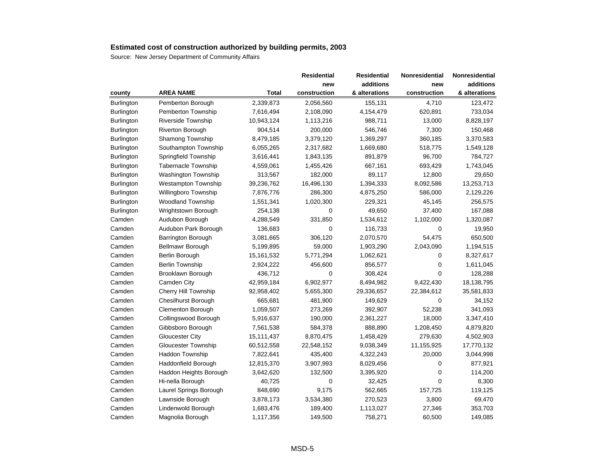|                   |                            |              | Residential  | <b>Residential</b> | Nonresidential | Nonresidential |
|-------------------|----------------------------|--------------|--------------|--------------------|----------------|----------------|
|                   |                            |              | new          | additions          | new            | additions      |
| county            | <b>AREA NAME</b>           | <b>Total</b> | construction | & alterations      | construction   | & alterations  |
| Burlington        | Pemberton Borough          | 2,339,873    | 2,056,560    | 155,131            | 4,710          | 123,472        |
| Burlington        | Pemberton Township         | 7,616,494    | 2,108,090    | 4,154,479          | 620,891        | 733,034        |
| <b>Burlington</b> | Riverside Township         | 10,943,124   | 1,113,216    | 988,711            | 13,000         | 8,828,197      |
| Burlington        | Riverton Borough           | 904,514      | 200,000      | 546,746            | 7,300          | 150,468        |
| Burlington        | Shamong Township           | 8,479,185    | 3,379,120    | 1,369,297          | 360,185        | 3,370,583      |
| Burlington        | Southampton Township       | 6,055,265    | 2,317,682    | 1,669,680          | 518,775        | 1,549,128      |
| Burlington        | Springfield Township       | 3,616,441    | 1,843,135    | 891,879            | 96,700         | 784,727        |
| <b>Burlington</b> | <b>Tabernacle Township</b> | 4,559,061    | 1,455,426    | 667,161            | 693,429        | 1,743,045      |
| <b>Burlington</b> | Washington Township        | 313,567      | 182,000      | 89,117             | 12,800         | 29,650         |
| <b>Burlington</b> | <b>Westampton Township</b> | 39,236,762   | 16,496,130   | 1,394,333          | 8,092,586      | 13,253,713     |
| Burlington        | Willingboro Township       | 7,876,776    | 286,300      | 4,875,250          | 586,000        | 2,129,226      |
| <b>Burlington</b> | <b>Woodland Township</b>   | 1,551,341    | 1,020,300    | 229,321            | 45,145         | 256,575        |
| Burlington        | Wrightstown Borough        | 254,138      | 0            | 49,650             | 37,400         | 167,088        |
| Camden            | Audubon Borough            | 4,288,549    | 331,850      | 1,534,612          | 1,102,000      | 1,320,087      |
| Camden            | Audubon Park Borough       | 136,683      | 0            | 116,733            | 0              | 19,950         |
| Camden            | Barrington Borough         | 3,081,665    | 306,120      | 2,070,570          | 54,475         | 650,500        |
| Camden            | Bellmawr Borough           | 5,199,895    | 59,000       | 1,903,290          | 2,043,090      | 1,194,515      |
| Camden            | Berlin Borough             | 15,161,532   | 5,771,294    | 1,062,621          | 0              | 8,327,617      |
| Camden            | <b>Berlin Township</b>     | 2,924,222    | 456,600      | 856,577            | 0              | 1,611,045      |
| Camden            | Brooklawn Borough          | 436,712      | 0            | 308,424            | $\Omega$       | 128,288        |
| Camden            | Camden City                | 42,959,184   | 6,902,977    | 8,494,982          | 9,422,430      | 18,138,795     |
| Camden            | Cherry Hill Township       | 92,958,402   | 5,655,300    | 29,336,657         | 22,384,612     | 35,581,833     |
| Camden            | <b>Chesilhurst Borough</b> | 665,681      | 481,900      | 149,629            | 0              | 34,152         |
| Camden            | <b>Clementon Borough</b>   | 1,059,507    | 273,269      | 392,907            | 52,238         | 341,093        |
| Camden            | Collingswood Borough       | 5,916,637    | 190,000      | 2,361,227          | 18,000         | 3,347,410      |
| Camden            | Gibbsboro Borough          | 7,561,538    | 584,378      | 888,890            | 1,208,450      | 4,879,820      |
| Camden            | <b>Gloucester City</b>     | 15,111,437   | 8,870,475    | 1,458,429          | 279,630        | 4,502,903      |
| Camden            | <b>Gloucester Township</b> | 60,512,558   | 22,548,152   | 9,038,349          | 11,155,925     | 17,770,132     |
| Camden            | Haddon Township            | 7,822,641    | 435,400      | 4,322,243          | 20,000         | 3,044,998      |
| Camden            | Haddonfield Borough        | 12,815,370   | 3,907,993    | 8,029,456          | 0              | 877,921        |
| Camden            | Haddon Heights Borough     | 3,642,620    | 132,500      | 3,395,920          | $\Omega$       | 114,200        |
| Camden            | Hi-nella Borough           | 40,725       | 0            | 32,425             | 0              | 8,300          |
| Camden            | Laurel Springs Borough     | 848,690      | 9,175        | 562,665            | 157,725        | 119,125        |
| Camden            | Lawnside Borough           | 3,878,173    | 3,534,380    | 270,523            | 3,800          | 69,470         |
| Camden            | Lindenwold Borough         | 1,683,476    | 189,400      | 1,113,027          | 27,346         | 353,703        |
| Camden            | Magnolia Borough           | 1,117,356    | 149,500      | 758,271            | 60,500         | 149,085        |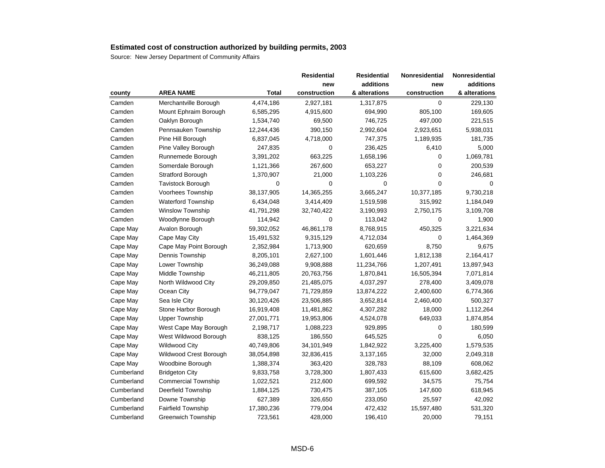|            |                            |            | <b>Residential</b> | <b>Residential</b> | Nonresidential | Nonresidential |
|------------|----------------------------|------------|--------------------|--------------------|----------------|----------------|
|            |                            |            | new                | additions          | new            | additions      |
| county     | <b>AREA NAME</b>           | Total      | construction       | & alterations      | construction   | & alterations  |
| Camden     | Merchantville Borough      | 4,474,186  | 2,927,181          | 1,317,875          | $\mathbf 0$    | 229,130        |
| Camden     | Mount Ephraim Borough      | 6,585,295  | 4,915,600          | 694,990            | 805,100        | 169,605        |
| Camden     | Oaklyn Borough             | 1,534,740  | 69,500             | 746,725            | 497,000        | 221,515        |
| Camden     | Pennsauken Township        | 12,244,436 | 390,150            | 2,992,604          | 2,923,651      | 5,938,031      |
| Camden     | Pine Hill Borough          | 6,837,045  | 4,718,000          | 747,375            | 1,189,935      | 181,735        |
| Camden     | Pine Valley Borough        | 247,835    | 0                  | 236,425            | 6,410          | 5,000          |
| Camden     | Runnemede Borough          | 3,391,202  | 663,225            | 1,658,196          | 0              | 1,069,781      |
| Camden     | Somerdale Borough          | 1,121,366  | 267,600            | 653,227            | 0              | 200,539        |
| Camden     | Stratford Borough          | 1,370,907  | 21,000             | 1,103,226          | 0              | 246,681        |
| Camden     | <b>Tavistock Borough</b>   | 0          | 0                  | 0                  | 0              | 0              |
| Camden     | Voorhees Township          | 38,137,905 | 14,365,255         | 3,665,247          | 10,377,185     | 9,730,218      |
| Camden     | <b>Waterford Township</b>  | 6,434,048  | 3,414,409          | 1,519,598          | 315,992        | 1,184,049      |
| Camden     | Winslow Township           | 41,791,298 | 32,740,422         | 3,190,993          | 2,750,175      | 3,109,708      |
| Camden     | Woodlynne Borough          | 114,942    | $\mathbf 0$        | 113,042            | 0              | 1,900          |
| Cape May   | Avalon Borough             | 59,302,052 | 46,861,178         | 8,768,915          | 450,325        | 3,221,634      |
| Cape May   | Cape May City              | 15,491,532 | 9,315,129          | 4,712,034          | 0              | 1,464,369      |
| Cape May   | Cape May Point Borough     | 2,352,984  | 1,713,900          | 620,659            | 8,750          | 9,675          |
| Cape May   | Dennis Township            | 8,205,101  | 2,627,100          | 1,601,446          | 1,812,138      | 2,164,417      |
| Cape May   | Lower Township             | 36,249,088 | 9,908,888          | 11,234,766         | 1,207,491      | 13,897,943     |
| Cape May   | Middle Township            | 46,211,805 | 20,763,756         | 1,870,841          | 16,505,394     | 7,071,814      |
| Cape May   | North Wildwood City        | 29,209,850 | 21,485,075         | 4,037,297          | 278,400        | 3,409,078      |
| Cape May   | Ocean City                 | 94,779,047 | 71,729,859         | 13,874,222         | 2,400,600      | 6,774,366      |
| Cape May   | Sea Isle City              | 30,120,426 | 23,506,885         | 3,652,814          | 2,460,400      | 500,327        |
| Cape May   | Stone Harbor Borough       | 16,919,408 | 11,481,862         | 4,307,282          | 18,000         | 1,112,264      |
| Cape May   | <b>Upper Township</b>      | 27,001,771 | 19,953,806         | 4,524,078          | 649,033        | 1,874,854      |
| Cape May   | West Cape May Borough      | 2,198,717  | 1,088,223          | 929,895            | 0              | 180,599        |
| Cape May   | West Wildwood Borough      | 838,125    | 186,550            | 645,525            | $\mathbf{0}$   | 6,050          |
| Cape May   | Wildwood City              | 40,749,806 | 34,101,949         | 1,842,922          | 3,225,400      | 1,579,535      |
| Cape May   | Wildwood Crest Borough     | 38,054,898 | 32,836,415         | 3,137,165          | 32,000         | 2,049,318      |
| Cape May   | Woodbine Borough           | 1,388,374  | 363,420            | 328,783            | 88,109         | 608,062        |
| Cumberland | <b>Bridgeton City</b>      | 9,833,758  | 3,728,300          | 1,807,433          | 615,600        | 3,682,425      |
| Cumberland | <b>Commercial Township</b> | 1,022,521  | 212,600            | 699,592            | 34,575         | 75,754         |
| Cumberland | Deerfield Township         | 1,884,125  | 730,475            | 387,105            | 147,600        | 618,945        |
| Cumberland | Downe Township             | 627,389    | 326,650            | 233,050            | 25,597         | 42,092         |
| Cumberland | <b>Fairfield Township</b>  | 17,380,236 | 779,004            | 472,432            | 15,597,480     | 531,320        |
| Cumberland | <b>Greenwich Township</b>  | 723,561    | 428,000            | 196,410            | 20,000         | 79,151         |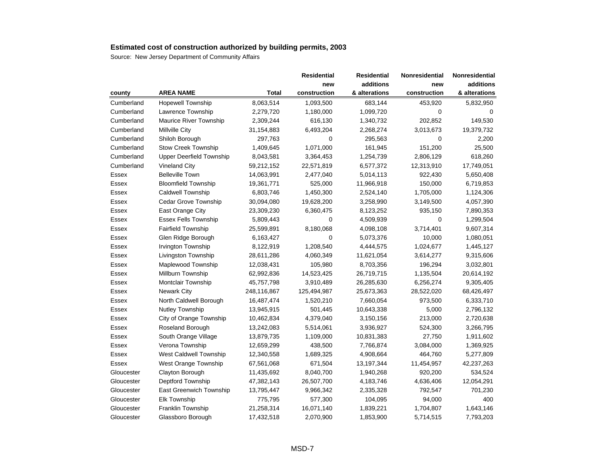|            |                             |              | <b>Residential</b> | <b>Residential</b> | Nonresidential | Nonresidential |
|------------|-----------------------------|--------------|--------------------|--------------------|----------------|----------------|
|            |                             |              | new                | additions          | new            | additions      |
| county     | <b>AREA NAME</b>            | <b>Total</b> | construction       | & alterations      | construction   | & alterations  |
| Cumberland | <b>Hopewell Township</b>    | 8,063,514    | 1,093,500          | 683,144            | 453,920        | 5,832,950      |
| Cumberland | Lawrence Township           | 2,279,720    | 1,180,000          | 1,099,720          | 0              | 0              |
| Cumberland | Maurice River Township      | 2,309,244    | 616,130            | 1,340,732          | 202,852        | 149,530        |
| Cumberland | Millville City              | 31,154,883   | 6,493,204          | 2,268,274          | 3,013,673      | 19,379,732     |
| Cumberland | Shiloh Borough              | 297,763      | 0                  | 295,563            | 0              | 2,200          |
| Cumberland | <b>Stow Creek Township</b>  | 1,409,645    | 1,071,000          | 161,945            | 151,200        | 25,500         |
| Cumberland | Upper Deerfield Township    | 8,043,581    | 3,364,453          | 1,254,739          | 2,806,129      | 618,260        |
| Cumberland | <b>Vineland City</b>        | 59,212,152   | 22,571,819         | 6,577,372          | 12,313,910     | 17,749,051     |
| Essex      | <b>Belleville Town</b>      | 14,063,991   | 2,477,040          | 5,014,113          | 922,430        | 5,650,408      |
| Essex      | <b>Bloomfield Township</b>  | 19,361,771   | 525,000            | 11,966,918         | 150,000        | 6,719,853      |
| Essex      | Caldwell Township           | 6,803,746    | 1,450,300          | 2,524,140          | 1,705,000      | 1,124,306      |
| Essex      | Cedar Grove Township        | 30,094,080   | 19,628,200         | 3,258,990          | 3,149,500      | 4,057,390      |
| Essex      | East Orange City            | 23,309,230   | 6,360,475          | 8,123,252          | 935,150        | 7,890,353      |
| Essex      | <b>Essex Fells Township</b> | 5,809,443    | $\mathbf 0$        | 4,509,939          | 0              | 1,299,504      |
| Essex      | Fairfield Township          | 25,599,891   | 8,180,068          | 4,098,108          | 3,714,401      | 9,607,314      |
| Essex      | Glen Ridge Borough          | 6,163,427    | 0                  | 5,073,376          | 10,000         | 1,080,051      |
| Essex      | Irvington Township          | 8,122,919    | 1,208,540          | 4,444,575          | 1,024,677      | 1,445,127      |
| Essex      | Livingston Township         | 28,611,286   | 4,060,349          | 11,621,054         | 3,614,277      | 9,315,606      |
| Essex      | Maplewood Township          | 12,038,431   | 105,980            | 8,703,356          | 196,294        | 3,032,801      |
| Essex      | Millburn Township           | 62,992,836   | 14,523,425         | 26,719,715         | 1,135,504      | 20,614,192     |
| Essex      | Montclair Township          | 45,757,798   | 3,910,489          | 26,285,630         | 6,256,274      | 9,305,405      |
| Essex      | <b>Newark City</b>          | 248,116,867  | 125,494,987        | 25,673,363         | 28,522,020     | 68,426,497     |
| Essex      | North Caldwell Borough      | 16,487,474   | 1,520,210          | 7,660,054          | 973,500        | 6,333,710      |
| Essex      | <b>Nutley Township</b>      | 13,945,915   | 501,445            | 10,643,338         | 5,000          | 2,796,132      |
| Essex      | City of Orange Township     | 10,462,834   | 4,379,040          | 3,150,156          | 213,000        | 2,720,638      |
| Essex      | Roseland Borough            | 13,242,083   | 5,514,061          | 3,936,927          | 524,300        | 3,266,795      |
| Essex      | South Orange Village        | 13,879,735   | 1,109,000          | 10,831,383         | 27,750         | 1,911,602      |
| Essex      | Verona Township             | 12,659,299   | 438,500            | 7,766,874          | 3,084,000      | 1,369,925      |
| Essex      | West Caldwell Township      | 12,340,558   | 1,689,325          | 4,908,664          | 464,760        | 5,277,809      |
| Essex      | West Orange Township        | 67,561,068   | 671,504            | 13,197,344         | 11,454,957     | 42,237,263     |
| Gloucester | Clayton Borough             | 11,435,692   | 8,040,700          | 1,940,268          | 920,200        | 534,524        |
| Gloucester | Deptford Township           | 47,382,143   | 26,507,700         | 4,183,746          | 4,636,406      | 12,054,291     |
| Gloucester | East Greenwich Township     | 13,795,447   | 9,966,342          | 2,335,328          | 792,547        | 701,230        |
| Gloucester | <b>Elk Township</b>         | 775,795      | 577,300            | 104,095            | 94,000         | 400            |
| Gloucester | Franklin Township           | 21,258,314   | 16,071,140         | 1,839,221          | 1,704,807      | 1,643,146      |
| Gloucester | Glassboro Borough           | 17,432,518   | 2,070,900          | 1,853,900          | 5,714,515      | 7,793,203      |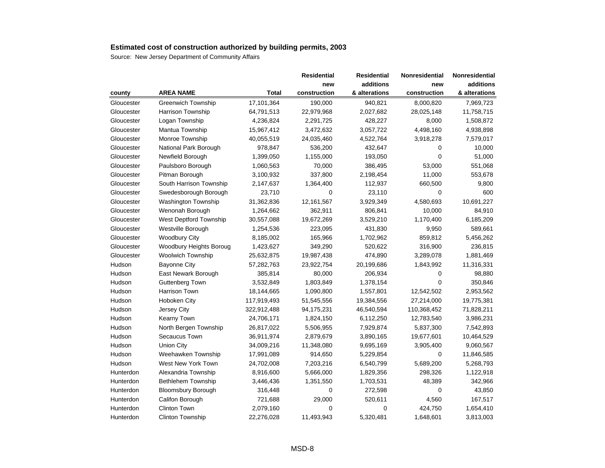|            |                           |             | <b>Residential</b> | <b>Residential</b> | <b>Nonresidential</b> | Nonresidential |
|------------|---------------------------|-------------|--------------------|--------------------|-----------------------|----------------|
|            |                           |             | new                | additions          | new                   | additions      |
| county     | <b>AREA NAME</b>          | Total       | construction       | & alterations      | construction          | & alterations  |
| Gloucester | <b>Greenwich Township</b> | 17,101,364  | 190,000            | 940,821            | 8,000,820             | 7,969,723      |
| Gloucester | <b>Harrison Township</b>  | 64,791,513  | 22,979,968         | 2,027,682          | 28,025,148            | 11,758,715     |
| Gloucester | Logan Township            | 4,236,824   | 2,291,725          | 428,227            | 8,000                 | 1,508,872      |
| Gloucester | Mantua Township           | 15,967,412  | 3,472,632          | 3,057,722          | 4,498,160             | 4,938,898      |
| Gloucester | Monroe Township           | 40,055,519  | 24,035,460         | 4,522,764          | 3,918,278             | 7,579,017      |
| Gloucester | National Park Borough     | 978,847     | 536,200            | 432,647            | 0                     | 10,000         |
| Gloucester | Newfield Borough          | 1,399,050   | 1,155,000          | 193,050            | $\mathbf 0$           | 51,000         |
| Gloucester | Paulsboro Borough         | 1,060,563   | 70,000             | 386,495            | 53,000                | 551,068        |
| Gloucester | Pitman Borough            | 3,100,932   | 337,800            | 2,198,454          | 11,000                | 553,678        |
| Gloucester | South Harrison Township   | 2,147,637   | 1,364,400          | 112,937            | 660,500               | 9,800          |
| Gloucester | Swedesborough Borough     | 23,710      | 0                  | 23,110             | $\mathbf 0$           | 600            |
| Gloucester | Washington Township       | 31,362,836  | 12,161,567         | 3,929,349          | 4,580,693             | 10,691,227     |
| Gloucester | Wenonah Borough           | 1,264,662   | 362,911            | 806,841            | 10,000                | 84,910         |
| Gloucester | West Deptford Township    | 30,557,088  | 19,672,269         | 3,529,210          | 1,170,400             | 6,185,209      |
| Gloucester | Westville Borough         | 1,254,536   | 223,095            | 431,830            | 9,950                 | 589,661        |
| Gloucester | <b>Woodbury City</b>      | 8,185,002   | 165,966            | 1,702,962          | 859,812               | 5,456,262      |
| Gloucester | Woodbury Heights Boroug   | 1,423,627   | 349,290            | 520,622            | 316,900               | 236,815        |
| Gloucester | <b>Woolwich Township</b>  | 25,632,875  | 19,987,438         | 474,890            | 3,289,078             | 1,881,469      |
| Hudson     | <b>Bayonne City</b>       | 57,282,763  | 23,922,754         | 20,199,686         | 1,843,992             | 11,316,331     |
| Hudson     | East Newark Borough       | 385,814     | 80,000             | 206,934            | 0                     | 98,880         |
| Hudson     | Guttenberg Town           | 3,532,849   | 1,803,849          | 1,378,154          | 0                     | 350,846        |
| Hudson     | <b>Harrison Town</b>      | 18,144,665  | 1,090,800          | 1,557,801          | 12,542,502            | 2,953,562      |
| Hudson     | Hoboken City              | 117,919,493 | 51,545,556         | 19,384,556         | 27,214,000            | 19,775,381     |
| Hudson     | Jersey City               | 322,912,488 | 94,175,231         | 46,540,594         | 110,368,452           | 71,828,211     |
| Hudson     | Kearny Town               | 24,706,171  | 1,824,150          | 6,112,250          | 12,783,540            | 3,986,231      |
| Hudson     | North Bergen Township     | 26,817,022  | 5,506,955          | 7,929,874          | 5,837,300             | 7,542,893      |
| Hudson     | Secaucus Town             | 36,911,974  | 2,879,679          | 3,890,165          | 19,677,601            | 10,464,529     |
| Hudson     | <b>Union City</b>         | 34,009,216  | 11,348,080         | 9,695,169          | 3,905,400             | 9,060,567      |
| Hudson     | Weehawken Township        | 17,991,089  | 914,650            | 5,229,854          | 0                     | 11,846,585     |
| Hudson     | West New York Town        | 24,702,008  | 7,203,216          | 6,540,799          | 5,689,200             | 5,268,793      |
| Hunterdon  | Alexandria Township       | 8,916,600   | 5,666,000          | 1,829,356          | 298,326               | 1,122,918      |
| Hunterdon  | <b>Bethlehem Township</b> | 3,446,436   | 1,351,550          | 1,703,531          | 48,389                | 342,966        |
| Hunterdon  | <b>Bloomsbury Borough</b> | 316,448     | 0                  | 272,598            | $\mathbf 0$           | 43,850         |
| Hunterdon  | Califon Borough           | 721,688     | 29,000             | 520,611            | 4,560                 | 167,517        |
| Hunterdon  | Clinton Town              | 2,079,160   | 0                  | 0                  | 424,750               | 1,654,410      |
| Hunterdon  | <b>Clinton Township</b>   | 22,276,028  | 11,493,943         | 5,320,481          | 1,648,601             | 3,813,003      |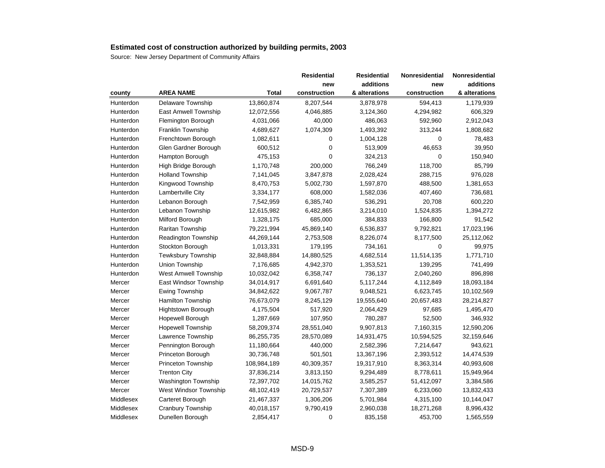|           |                             |              | <b>Residential</b> | <b>Residential</b> | Nonresidential | Nonresidential |
|-----------|-----------------------------|--------------|--------------------|--------------------|----------------|----------------|
|           |                             |              | new                | additions          | new            | additions      |
| county    | <b>AREA NAME</b>            | <b>Total</b> | construction       | & alterations      | construction   | & alterations  |
| Hunterdon | Delaware Township           | 13,860,874   | 8,207,544          | 3,878,978          | 594,413        | 1,179,939      |
| Hunterdon | East Amwell Township        | 12,072,556   | 4,046,885          | 3,124,360          | 4,294,982      | 606,329        |
| Hunterdon | Flemington Borough          | 4,031,066    | 40,000             | 486,063            | 592,960        | 2,912,043      |
| Hunterdon | Franklin Township           | 4,689,627    | 1,074,309          | 1,493,392          | 313,244        | 1,808,682      |
| Hunterdon | Frenchtown Borough          | 1,082,611    | 0                  | 1,004,128          | 0              | 78,483         |
| Hunterdon | Glen Gardner Borough        | 600,512      | $\mathbf 0$        | 513,909            | 46,653         | 39,950         |
| Hunterdon | Hampton Borough             | 475,153      | $\mathbf 0$        | 324,213            | 0              | 150,940        |
| Hunterdon | High Bridge Borough         | 1,170,748    | 200,000            | 766,249            | 118,700        | 85,799         |
| Hunterdon | <b>Holland Township</b>     | 7,141,045    | 3,847,878          | 2,028,424          | 288,715        | 976,028        |
| Hunterdon | Kingwood Township           | 8,470,753    | 5,002,730          | 1,597,870          | 488,500        | 1,381,653      |
| Hunterdon | Lambertville City           | 3,334,177    | 608,000            | 1,582,036          | 407,460        | 736,681        |
| Hunterdon | Lebanon Borough             | 7,542,959    | 6,385,740          | 536,291            | 20,708         | 600,220        |
| Hunterdon | Lebanon Township            | 12,615,982   | 6,482,865          | 3,214,010          | 1,524,835      | 1,394,272      |
| Hunterdon | Milford Borough             | 1,328,175    | 685,000            | 384,833            | 166,800        | 91,542         |
| Hunterdon | Raritan Township            | 79,221,994   | 45,869,140         | 6,536,837          | 9,792,821      | 17,023,196     |
| Hunterdon | Readington Township         | 44,269,144   | 2,753,508          | 8,226,074          | 8,177,500      | 25,112,062     |
| Hunterdon | Stockton Borough            | 1,013,331    | 179,195            | 734,161            | $\Omega$       | 99,975         |
| Hunterdon | Tewksbury Township          | 32,848,884   | 14,880,525         | 4,682,514          | 11,514,135     | 1,771,710      |
| Hunterdon | Union Township              | 7,176,685    | 4,942,370          | 1,353,521          | 139,295        | 741,499        |
| Hunterdon | <b>West Amwell Township</b> | 10,032,042   | 6,358,747          | 736,137            | 2,040,260      | 896,898        |
| Mercer    | East Windsor Township       | 34,014,917   | 6,691,640          | 5,117,244          | 4,112,849      | 18,093,184     |
| Mercer    | <b>Ewing Township</b>       | 34,842,622   | 9,067,787          | 9,048,521          | 6,623,745      | 10,102,569     |
| Mercer    | <b>Hamilton Township</b>    | 76,673,079   | 8,245,129          | 19,555,640         | 20,657,483     | 28,214,827     |
| Mercer    | <b>Hightstown Borough</b>   | 4,175,504    | 517,920            | 2,064,429          | 97,685         | 1,495,470      |
| Mercer    | Hopewell Borough            | 1,287,669    | 107,950            | 780,287            | 52,500         | 346,932        |
| Mercer    | <b>Hopewell Township</b>    | 58,209,374   | 28,551,040         | 9,907,813          | 7,160,315      | 12,590,206     |
| Mercer    | Lawrence Township           | 86,255,735   | 28,570,089         | 14,931,475         | 10,594,525     | 32,159,646     |
| Mercer    | Pennington Borough          | 11,180,664   | 440,000            | 2,582,396          | 7,214,647      | 943,621        |
| Mercer    | Princeton Borough           | 30,736,748   | 501,501            | 13,367,196         | 2,393,512      | 14,474,539     |
| Mercer    | Princeton Township          | 108,984,189  | 40,309,357         | 19,317,910         | 8,363,314      | 40,993,608     |
| Mercer    | <b>Trenton City</b>         | 37,836,214   | 3,813,150          | 9,294,489          | 8,778,611      | 15,949,964     |
| Mercer    | <b>Washington Township</b>  | 72,397,702   | 14,015,762         | 3,585,257          | 51,412,097     | 3,384,586      |
| Mercer    | West Windsor Township       | 48,102,419   | 20,729,537         | 7,307,389          | 6,233,060      | 13,832,433     |
| Middlesex | Carteret Borough            | 21,467,337   | 1,306,206          | 5,701,984          | 4,315,100      | 10,144,047     |
| Middlesex | <b>Cranbury Township</b>    | 40,018,157   | 9,790,419          | 2,960,038          | 18,271,268     | 8,996,432      |
| Middlesex | Dunellen Borough            | 2,854,417    | $\mathbf 0$        | 835,158            | 453,700        | 1,565,559      |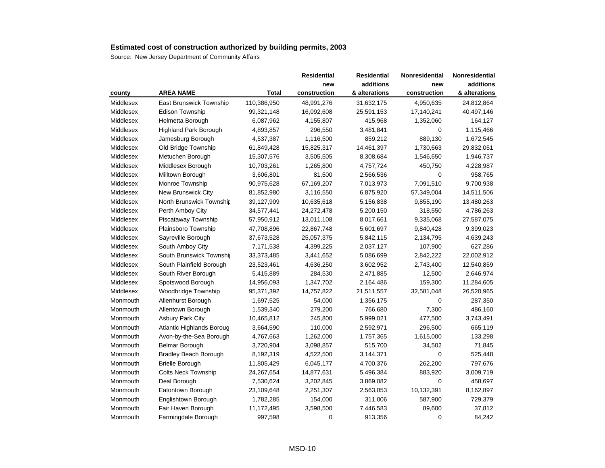|           |                              |              | <b>Residential</b> | <b>Residential</b> | <b>Nonresidential</b> | Nonresidential |
|-----------|------------------------------|--------------|--------------------|--------------------|-----------------------|----------------|
|           |                              |              | new                | additions          | new                   | additions      |
| county    | <b>AREA NAME</b>             | <b>Total</b> | construction       | & alterations      | construction          | & alterations  |
| Middlesex | East Brunswick Township      | 110,386,950  | 48,991,276         | 31,632,175         | 4,950,635             | 24,812,864     |
| Middlesex | <b>Edison Township</b>       | 99,321,148   | 16,092,608         | 25,591,153         | 17,140,241            | 40,497,146     |
| Middlesex | Helmetta Borough             | 6,087,962    | 4,155,807          | 415,968            | 1,352,060             | 164,127        |
| Middlesex | Highland Park Borough        | 4,893,857    | 296,550            | 3,481,841          | $\mathbf 0$           | 1,115,466      |
| Middlesex | Jamesburg Borough            | 4,537,387    | 1,116,500          | 859,212            | 889,130               | 1,672,545      |
| Middlesex | Old Bridge Township          | 61,849,428   | 15,825,317         | 14,461,397         | 1,730,663             | 29,832,051     |
| Middlesex | Metuchen Borough             | 15,307,576   | 3,505,505          | 8,308,684          | 1,546,650             | 1,946,737      |
| Middlesex | Middlesex Borough            | 10,703,261   | 1,265,800          | 4,757,724          | 450,750               | 4,228,987      |
| Middlesex | Milltown Borough             | 3,606,801    | 81,500             | 2,566,536          | $\mathbf 0$           | 958,765        |
| Middlesex | Monroe Township              | 90,975,628   | 67,169,207         | 7,013,973          | 7,091,510             | 9,700,938      |
| Middlesex | New Brunswick City           | 81,852,980   | 3,116,550          | 6,875,920          | 57,349,004            | 14,511,506     |
| Middlesex | North Brunswick Township     | 39,127,909   | 10,635,618         | 5,156,838          | 9,855,190             | 13,480,263     |
| Middlesex | Perth Amboy City             | 34,577,441   | 24,272,478         | 5,200,150          | 318,550               | 4,786,263      |
| Middlesex | Piscataway Township          | 57,950,912   | 13,011,108         | 8,017,661          | 9,335,068             | 27,587,075     |
| Middlesex | Plainsboro Township          | 47,708,896   | 22,867,748         | 5,601,697          | 9,840,428             | 9,399,023      |
| Middlesex | Sayreville Borough           | 37,673,528   | 25,057,375         | 5,842,115          | 2,134,795             | 4,639,243      |
| Middlesex | South Amboy City             | 7,171,538    | 4,399,225          | 2,037,127          | 107,900               | 627,286        |
| Middlesex | South Brunswick Township     | 33,373,485   | 3,441,652          | 5,086,699          | 2,842,222             | 22,002,912     |
| Middlesex | South Plainfield Borough     | 23,523,461   | 4,636,250          | 3,602,952          | 2,743,400             | 12,540,859     |
| Middlesex | South River Borough          | 5,415,889    | 284,530            | 2,471,885          | 12,500                | 2,646,974      |
| Middlesex | Spotswood Borough            | 14,956,093   | 1,347,702          | 2,164,486          | 159,300               | 11,284,605     |
| Middlesex | <b>Woodbridge Township</b>   | 95,371,392   | 14,757,822         | 21,511,557         | 32,581,048            | 26,520,965     |
| Monmouth  | Allenhurst Borough           | 1,697,525    | 54,000             | 1,356,175          | $\mathbf 0$           | 287,350        |
| Monmouth  | Allentown Borough            | 1,539,340    | 279,200            | 766,680            | 7,300                 | 486,160        |
| Monmouth  | <b>Asbury Park City</b>      | 10,465,812   | 245,800            | 5,999,021          | 477,500               | 3,743,491      |
| Monmouth  | Atlantic Highlands Borougl   | 3,664,590    | 110,000            | 2,592,971          | 296,500               | 665,119        |
| Monmouth  | Avon-by-the-Sea Borough      | 4,767,663    | 1,262,000          | 1,757,365          | 1,615,000             | 133,298        |
| Monmouth  | <b>Belmar Borough</b>        | 3,720,904    | 3,098,857          | 515,700            | 34,502                | 71,845         |
| Monmouth  | <b>Bradley Beach Borough</b> | 8,192,319    | 4,522,500          | 3,144,371          | $\mathbf 0$           | 525,448        |
| Monmouth  | <b>Brielle Borough</b>       | 11,805,429   | 6,045,177          | 4,700,376          | 262,200               | 797,676        |
| Monmouth  | <b>Colts Neck Township</b>   | 24,267,654   | 14,877,631         | 5,496,384          | 883,920               | 3,009,719      |
| Monmouth  | Deal Borough                 | 7,530,624    | 3,202,845          | 3,869,082          | $\mathbf 0$           | 458,697        |
| Monmouth  | Eatontown Borough            | 23,109,648   | 2,251,307          | 2,563,053          | 10,132,391            | 8,162,897      |
| Monmouth  | Englishtown Borough          | 1,782,285    | 154,000            | 311,006            | 587,900               | 729,379        |
| Monmouth  | Fair Haven Borough           | 11,172,495   | 3,598,500          | 7,446,583          | 89,600                | 37,812         |
| Monmouth  | Farmingdale Borough          | 997,598      | $\mathbf 0$        | 913,356            | $\mathbf 0$           | 84,242         |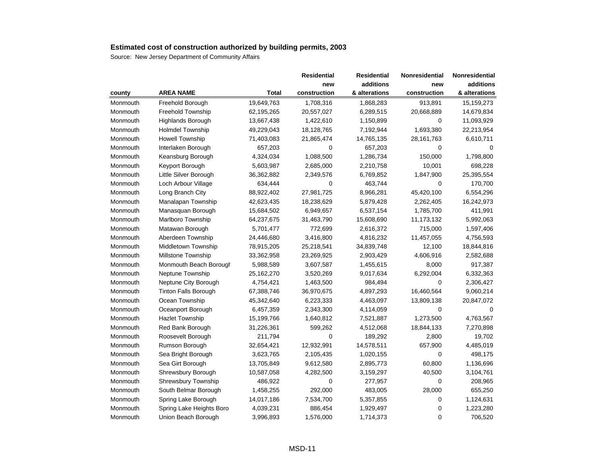|          |                             |              | <b>Residential</b> | <b>Residential</b> | Nonresidential | Nonresidential |
|----------|-----------------------------|--------------|--------------------|--------------------|----------------|----------------|
|          |                             |              | new                | additions          | new            | additions      |
| county   | <b>AREA NAME</b>            | <b>Total</b> | construction       | & alterations      | construction   | & alterations  |
| Monmouth | Freehold Borough            | 19,649,763   | 1,708,316          | 1,868,283          | 913,891        | 15, 159, 273   |
| Monmouth | <b>Freehold Township</b>    | 62,195,265   | 20,557,027         | 6,289,515          | 20,668,889     | 14,679,834     |
| Monmouth | Highlands Borough           | 13,667,438   | 1,422,610          | 1,150,899          | 0              | 11,093,929     |
| Monmouth | <b>Holmdel Township</b>     | 49,229,043   | 18,128,765         | 7,192,944          | 1,693,380      | 22,213,954     |
| Monmouth | <b>Howell Township</b>      | 71,403,083   | 21,865,474         | 14,765,135         | 28, 161, 763   | 6,610,711      |
| Monmouth | Interlaken Borough          | 657,203      | 0                  | 657,203            | 0              | 0              |
| Monmouth | Keansburg Borough           | 4,324,034    | 1,088,500          | 1,286,734          | 150,000        | 1,798,800      |
| Monmouth | Keyport Borough             | 5,603,987    | 2,685,000          | 2,210,758          | 10,001         | 698,228        |
| Monmouth | Little Silver Borough       | 36,362,882   | 2,349,576          | 6,769,852          | 1,847,900      | 25,395,554     |
| Monmouth | Loch Arbour Village         | 634,444      | $\mathbf 0$        | 463,744            | $\mathbf 0$    | 170,700        |
| Monmouth | Long Branch City            | 88,922,402   | 27,981,725         | 8,966,281          | 45,420,100     | 6,554,296      |
| Monmouth | Manalapan Township          | 42,623,435   | 18,238,629         | 5,879,428          | 2,262,405      | 16,242,973     |
| Monmouth | Manasquan Borough           | 15,684,502   | 6,949,657          | 6,537,154          | 1,785,700      | 411,991        |
| Monmouth | Marlboro Township           | 64,237,675   | 31,463,790         | 15,608,690         | 11,173,132     | 5,992,063      |
| Monmouth | Matawan Borough             | 5,701,477    | 772,699            | 2,616,372          | 715,000        | 1,597,406      |
| Monmouth | Aberdeen Township           | 24,446,680   | 3,416,800          | 4,816,232          | 11,457,055     | 4,756,593      |
| Monmouth | Middletown Township         | 78,915,205   | 25,218,541         | 34,839,748         | 12,100         | 18,844,816     |
| Monmouth | <b>Millstone Township</b>   | 33,362,958   | 23,269,925         | 2,903,429          | 4,606,916      | 2,582,688      |
| Monmouth | Monmouth Beach Borough      | 5,988,589    | 3,607,587          | 1,455,615          | 8,000          | 917,387        |
| Monmouth | Neptune Township            | 25,162,270   | 3,520,269          | 9,017,634          | 6,292,004      | 6,332,363      |
| Monmouth | Neptune City Borough        | 4,754,421    | 1,463,500          | 984,494            | 0              | 2,306,427      |
| Monmouth | <b>Tinton Falls Borough</b> | 67,388,746   | 36,970,675         | 4,897,293          | 16,460,564     | 9,060,214      |
| Monmouth | Ocean Township              | 45,342,640   | 6,223,333          | 4,463,097          | 13,809,138     | 20,847,072     |
| Monmouth | Oceanport Borough           | 6,457,359    | 2,343,300          | 4,114,059          | $\mathbf 0$    | $\mathbf 0$    |
| Monmouth | <b>Hazlet Township</b>      | 15,199,766   | 1,640,812          | 7,521,887          | 1,273,500      | 4,763,567      |
| Monmouth | Red Bank Borough            | 31,226,361   | 599,262            | 4,512,068          | 18,844,133     | 7,270,898      |
| Monmouth | Roosevelt Borough           | 211,794      | $\mathbf 0$        | 189,292            | 2,800          | 19,702         |
| Monmouth | Rumson Borough              | 32,654,421   | 12,932,991         | 14,578,511         | 657,900        | 4,485,019      |
| Monmouth | Sea Bright Borough          | 3,623,765    | 2,105,435          | 1,020,155          | $\mathbf 0$    | 498,175        |
| Monmouth | Sea Girt Borough            | 13,705,849   | 9,612,580          | 2,895,773          | 60,800         | 1,136,696      |
| Monmouth | Shrewsbury Borough          | 10,587,058   | 4,282,500          | 3,159,297          | 40,500         | 3,104,761      |
| Monmouth | Shrewsbury Township         | 486,922      | 0                  | 277,957            | 0              | 208,965        |
| Monmouth | South Belmar Borough        | 1,458,255    | 292,000            | 483,005            | 28,000         | 655,250        |
| Monmouth | Spring Lake Borough         | 14,017,186   | 7,534,700          | 5,357,855          | $\mathbf 0$    | 1,124,631      |
| Monmouth | Spring Lake Heights Boro    | 4,039,231    | 886,454            | 1,929,497          | 0              | 1,223,280      |
| Monmouth | Union Beach Borough         | 3,996,893    | 1,576,000          | 1,714,373          | 0              | 706,520        |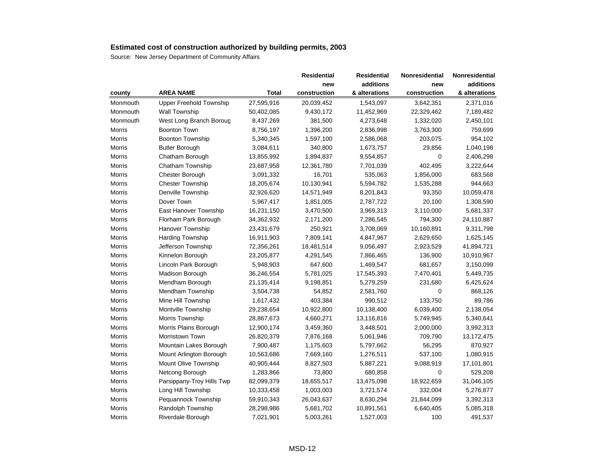|               |                                |              | <b>Residential</b> | <b>Residential</b> | <b>Nonresidential</b> | Nonresidential |
|---------------|--------------------------------|--------------|--------------------|--------------------|-----------------------|----------------|
|               |                                |              | new                | additions          | new                   | additions      |
| county        | <b>AREA NAME</b>               | <b>Total</b> | construction       | & alterations      | construction          | & alterations  |
| Monmouth      | <b>Upper Freehold Township</b> | 27,595,916   | 20,039,452         | 1,543,097          | 3,642,351             | 2,371,016      |
| Monmouth      | Wall Township                  | 50,402,085   | 9,430,172          | 11,452,969         | 22,329,462            | 7,189,482      |
| Monmouth      | West Long Branch Boroug        | 8,437,269    | 381,500            | 4,273,648          | 1,332,020             | 2,450,101      |
| Morris        | <b>Boonton Town</b>            | 8,756,197    | 1,396,200          | 2,836,998          | 3,763,300             | 759,699        |
| Morris        | <b>Boonton Township</b>        | 5,340,345    | 1,597,100          | 2,586,068          | 203,075               | 954,102        |
| Morris        | <b>Butler Borough</b>          | 3,084,611    | 340,800            | 1,673,757          | 29,856                | 1,040,198      |
| Morris        | Chatham Borough                | 13,855,992   | 1,894,837          | 9,554,857          | 0                     | 2,406,298      |
| Morris        | Chatham Township               | 23,687,958   | 12,361,780         | 7,701,039          | 402,495               | 3,222,644      |
| Morris        | Chester Borough                | 3,091,332    | 16,701             | 535,063            | 1,856,000             | 683,568        |
| Morris        | <b>Chester Township</b>        | 18,205,674   | 10,130,941         | 5,594,782          | 1,535,288             | 944,663        |
| Morris        | Denville Township              | 32,926,620   | 14,571,949         | 8,201,843          | 93,350                | 10,059,478     |
| Morris        | Dover Town                     | 5,967,417    | 1,851,005          | 2,787,722          | 20,100                | 1,308,590      |
| Morris        | <b>East Hanover Township</b>   | 16,231,150   | 3,470,500          | 3,969,313          | 3,110,000             | 5,681,337      |
| Morris        | Florham Park Borough           | 34,362,932   | 2,171,200          | 7,286,545          | 794,300               | 24,110,887     |
| Morris        | Hanover Township               | 23,431,679   | 250,921            | 3,708,069          | 10,160,891            | 9,311,798      |
| Morris        | <b>Harding Township</b>        | 16,911,903   | 7,809,141          | 4,847,967          | 2,629,650             | 1,625,145      |
| Morris        | Jefferson Township             | 72,356,261   | 18,481,514         | 9,056,497          | 2,923,529             | 41,894,721     |
| <b>Morris</b> | Kinnelon Borough               | 23,205,877   | 4,291,545          | 7,866,465          | 136,900               | 10,910,967     |
| Morris        | Lincoln Park Borough           | 5,948,903    | 647,600            | 1,469,547          | 681,657               | 3,150,099      |
| Morris        | Madison Borough                | 36,246,554   | 5,781,025          | 17,545,393         | 7,470,401             | 5,449,735      |
| Morris        | Mendham Borough                | 21,135,414   | 9,198,851          | 5,279,259          | 231,680               | 6,425,624      |
| Morris        | Mendham Township               | 3,504,738    | 54,852             | 2,581,760          | 0                     | 868,126        |
| Morris        | Mine Hill Township             | 1,617,432    | 403,384            | 990,512            | 133,750               | 89,786         |
| Morris        | Montville Township             | 29,238,654   | 10,922,800         | 10,138,400         | 6,039,400             | 2,138,054      |
| Morris        | Morris Township                | 28,867,673   | 4,660,271          | 13,116,816         | 5,749,945             | 5,340,641      |
| Morris        | Morris Plains Borough          | 12,900,174   | 3,459,360          | 3,448,501          | 2,000,000             | 3,992,313      |
| Morris        | <b>Morristown Town</b>         | 26,820,379   | 7,876,168          | 5,061,946          | 709,790               | 13,172,475     |
| Morris        | Mountain Lakes Borough         | 7,900,487    | 1,175,603          | 5,797,662          | 56,295                | 870,927        |
| Morris        | Mount Arlington Borough        | 10,563,686   | 7,669,160          | 1,276,511          | 537,100               | 1,080,915      |
| Morris        | Mount Olive Township           | 40,905,444   | 8,827,503          | 5,887,221          | 9,088,919             | 17,101,801     |
| Morris        | Netcong Borough                | 1,283,866    | 73,800             | 680,858            | $\mathbf 0$           | 529,208        |
| Morris        | Parsippany-Troy Hills Twp      | 82,099,379   | 18,655,517         | 13,475,098         | 18,922,659            | 31,046,105     |
| Morris        | Long Hill Township             | 10,333,458   | 1,003,003          | 3,721,574          | 332,004               | 5,276,877      |
| Morris        | Pequannock Township            | 59,910,343   | 26,043,637         | 8,630,294          | 21,844,099            | 3,392,313      |
| Morris        | Randolph Township              | 28,298,986   | 5,681,702          | 10,891,561         | 6,640,405             | 5,085,318      |
| Morris        | Riverdale Borough              | 7,021,901    | 5,003,261          | 1,527,003          | 100                   | 491,537        |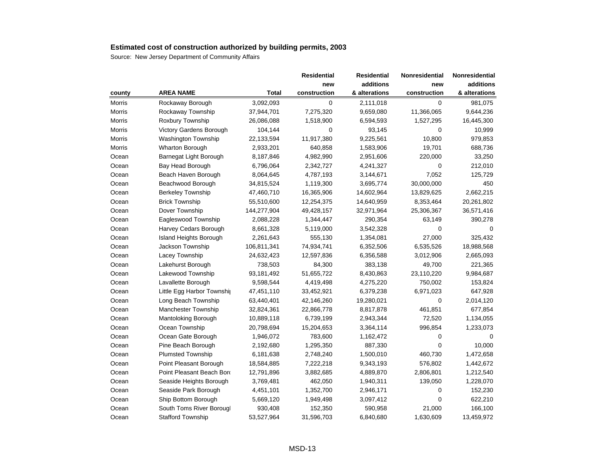|        |                            |              | <b>Residential</b> | <b>Residential</b> | Nonresidential | Nonresidential |
|--------|----------------------------|--------------|--------------------|--------------------|----------------|----------------|
|        |                            |              | new                | additions          | new            | additions      |
| county | <b>AREA NAME</b>           | <b>Total</b> | construction       | & alterations      | construction   | & alterations  |
| Morris | Rockaway Borough           | 3,092,093    | $\mathbf 0$        | 2,111,018          | 0              | 981,075        |
| Morris | Rockaway Township          | 37,944,701   | 7,275,320          | 9,659,080          | 11,366,065     | 9,644,236      |
| Morris | Roxbury Township           | 26,086,088   | 1,518,900          | 6,594,593          | 1,527,295      | 16,445,300     |
| Morris | Victory Gardens Borough    | 104,144      | 0                  | 93,145             | 0              | 10,999         |
| Morris | <b>Washington Township</b> | 22,133,594   | 11,917,380         | 9,225,561          | 10,800         | 979,853        |
| Morris | Wharton Borough            | 2,933,201    | 640,858            | 1,583,906          | 19,701         | 688,736        |
| Ocean  | Barnegat Light Borough     | 8,187,846    | 4,982,990          | 2,951,606          | 220,000        | 33,250         |
| Ocean  | Bay Head Borough           | 6,796,064    | 2,342,727          | 4,241,327          | 0              | 212,010        |
| Ocean  | Beach Haven Borough        | 8,064,645    | 4,787,193          | 3,144,671          | 7,052          | 125,729        |
| Ocean  | Beachwood Borough          | 34,815,524   | 1,119,300          | 3,695,774          | 30,000,000     | 450            |
| Ocean  | <b>Berkeley Township</b>   | 47,460,710   | 16,365,906         | 14,602,964         | 13,829,625     | 2,662,215      |
| Ocean  | <b>Brick Township</b>      | 55,510,600   | 12,254,375         | 14,640,959         | 8,353,464      | 20,261,802     |
| Ocean  | Dover Township             | 144,277,904  | 49,428,157         | 32,971,964         | 25,306,367     | 36,571,416     |
| Ocean  | Eagleswood Township        | 2,088,228    | 1,344,447          | 290,354            | 63,149         | 390,278        |
| Ocean  | Harvey Cedars Borough      | 8,661,328    | 5,119,000          | 3,542,328          | 0              | $\Omega$       |
| Ocean  | Island Heights Borough     | 2,261,643    | 555,130            | 1,354,081          | 27,000         | 325,432        |
| Ocean  | Jackson Township           | 106,811,341  | 74,934,741         | 6,352,506          | 6,535,526      | 18,988,568     |
| Ocean  | Lacey Township             | 24,632,423   | 12,597,836         | 6,356,588          | 3,012,906      | 2,665,093      |
| Ocean  | Lakehurst Borough          | 738,503      | 84,300             | 383,138            | 49,700         | 221,365        |
| Ocean  | Lakewood Township          | 93,181,492   | 51,655,722         | 8,430,863          | 23,110,220     | 9,984,687      |
| Ocean  | Lavallette Borough         | 9,598,544    | 4,419,498          | 4,275,220          | 750,002        | 153,824        |
| Ocean  | Little Egg Harbor Township | 47,451,110   | 33,452,921         | 6,379,238          | 6,971,023      | 647,928        |
| Ocean  | Long Beach Township        | 63,440,401   | 42,146,260         | 19,280,021         | $\mathbf 0$    | 2,014,120      |
| Ocean  | Manchester Township        | 32,824,361   | 22,866,778         | 8,817,878          | 461,851        | 677,854        |
| Ocean  | Mantoloking Borough        | 10,889,118   | 6,739,199          | 2,943,344          | 72,520         | 1,134,055      |
| Ocean  | Ocean Township             | 20,798,694   | 15,204,653         | 3,364,114          | 996,854        | 1,233,073      |
| Ocean  | Ocean Gate Borough         | 1,946,072    | 783,600            | 1,162,472          | 0              | 0              |
| Ocean  | Pine Beach Borough         | 2,192,680    | 1,295,350          | 887,330            | 0              | 10,000         |
| Ocean  | <b>Plumsted Township</b>   | 6,181,638    | 2,748,240          | 1,500,010          | 460,730        | 1,472,658      |
| Ocean  | Point Pleasant Borough     | 18,584,885   | 7,222,218          | 9,343,193          | 576,802        | 1,442,672      |
| Ocean  | Point Pleasant Beach Bord  | 12,791,896   | 3,882,685          | 4,889,870          | 2,806,801      | 1,212,540      |
| Ocean  | Seaside Heights Borough    | 3,769,481    | 462,050            | 1,940,311          | 139,050        | 1,228,070      |
| Ocean  | Seaside Park Borough       | 4,451,101    | 1,352,700          | 2,946,171          | 0              | 152,230        |
| Ocean  | Ship Bottom Borough        | 5,669,120    | 1,949,498          | 3,097,412          | 0              | 622,210        |
| Ocean  | South Toms River Borougl   | 930,408      | 152,350            | 590,958            | 21,000         | 166,100        |
| Ocean  | <b>Stafford Township</b>   | 53,527,964   | 31,596,703         | 6,840,680          | 1,630,609      | 13,459,972     |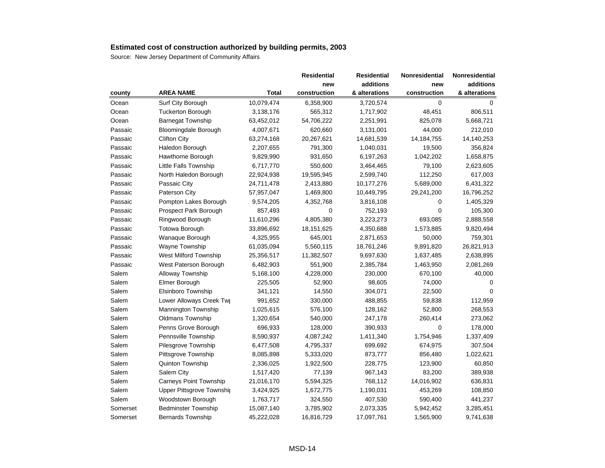|          |                             |            | <b>Residential</b> | <b>Residential</b> | Nonresidential | Nonresidential |
|----------|-----------------------------|------------|--------------------|--------------------|----------------|----------------|
|          |                             |            | new                | additions          | new            | additions      |
| county   | <b>AREA NAME</b>            | Total      | construction       | & alterations      | construction   | & alterations  |
| Ocean    | Surf City Borough           | 10,079,474 | 6,358,900          | 3,720,574          | $\mathbf 0$    | $\Omega$       |
| Ocean    | <b>Tuckerton Borough</b>    | 3,138,176  | 565,312            | 1,717,902          | 48,451         | 806,511        |
| Ocean    | <b>Barnegat Township</b>    | 63,452,012 | 54,706,222         | 2,251,991          | 825,078        | 5,668,721      |
| Passaic  | <b>Bloomingdale Borough</b> | 4,007,671  | 620,660            | 3,131,001          | 44,000         | 212,010        |
| Passaic  | <b>Clifton City</b>         | 63,274,168 | 20,267,621         | 14,681,539         | 14, 184, 755   | 14,140,253     |
| Passaic  | Haledon Borough             | 2,207,655  | 791,300            | 1,040,031          | 19,500         | 356,824        |
| Passaic  | Hawthorne Borough           | 9,829,990  | 931,650            | 6,197,263          | 1,042,202      | 1,658,875      |
| Passaic  | Little Falls Township       | 6,717,770  | 550,600            | 3,464,465          | 79,100         | 2,623,605      |
| Passaic  | North Haledon Borough       | 22,924,938 | 19,595,945         | 2,599,740          | 112,250        | 617,003        |
| Passaic  | Passaic City                | 24,711,478 | 2,413,880          | 10,177,276         | 5,689,000      | 6,431,322      |
| Passaic  | Paterson City               | 57,957,047 | 1,469,800          | 10,449,795         | 29,241,200     | 16,796,252     |
| Passaic  | Pompton Lakes Borough       | 9,574,205  | 4,352,768          | 3,816,108          | 0              | 1,405,329      |
| Passaic  | Prospect Park Borough       | 857,493    | 0                  | 752,193            | 0              | 105,300        |
| Passaic  | Ringwood Borough            | 11,610,296 | 4,805,380          | 3,223,273          | 693,085        | 2,888,558      |
| Passaic  | Totowa Borough              | 33,896,692 | 18,151,625         | 4,350,688          | 1,573,885      | 9,820,494      |
| Passaic  | Wanaque Borough             | 4,325,955  | 645,001            | 2,871,653          | 50,000         | 759,301        |
| Passaic  | Wayne Township              | 61,035,094 | 5,560,115          | 18,761,246         | 9,891,820      | 26,821,913     |
| Passaic  | West Milford Township       | 25,356,517 | 11,382,507         | 9,697,630          | 1,637,485      | 2,638,895      |
| Passaic  | West Paterson Borough       | 6,482,903  | 551,900            | 2,385,784          | 1,463,950      | 2,081,269      |
| Salem    | Alloway Township            | 5,168,100  | 4,228,000          | 230,000            | 670,100        | 40,000         |
| Salem    | Elmer Borough               | 225,505    | 52,900             | 98,605             | 74,000         | 0              |
| Salem    | Elsinboro Township          | 341,121    | 14,550             | 304,071            | 22,500         | $\Omega$       |
| Salem    | Lower Alloways Creek Twp    | 991,652    | 330,000            | 488,855            | 59,838         | 112,959        |
| Salem    | <b>Mannington Township</b>  | 1,025,615  | 576,100            | 128,162            | 52,800         | 268,553        |
| Salem    | Oldmans Township            | 1,320,654  | 540,000            | 247,178            | 260,414        | 273,062        |
| Salem    | Penns Grove Borough         | 696,933    | 128,000            | 390,933            | $\mathbf 0$    | 178,000        |
| Salem    | Pennsville Township         | 8,590,937  | 4,087,242          | 1,411,340          | 1,754,946      | 1,337,409      |
| Salem    | Pilesgrove Township         | 6,477,508  | 4,795,337          | 699,692            | 674,975        | 307,504        |
| Salem    | Pittsgrove Township         | 8,085,898  | 5,333,020          | 873,777            | 856,480        | 1,022,621      |
| Salem    | Quinton Township            | 2,336,025  | 1,922,500          | 228,775            | 123,900        | 60,850         |
| Salem    | Salem City                  | 1,517,420  | 77,139             | 967,143            | 83,200         | 389,938        |
| Salem    | Carneys Point Township      | 21,016,170 | 5,594,325          | 768,112            | 14,016,902     | 636,831        |
| Salem    | Upper Pittsgrove Township   | 3,424,925  | 1,672,775          | 1,190,031          | 453,269        | 108,850        |
| Salem    | Woodstown Borough           | 1,763,717  | 324,550            | 407,530            | 590,400        | 441,237        |
| Somerset | <b>Bedminster Township</b>  | 15,087,140 | 3,785,902          | 2,073,335          | 5,942,452      | 3,285,451      |
| Somerset | <b>Bernards Township</b>    | 45,222,028 | 16,816,729         | 17,097,761         | 1,565,900      | 9,741,638      |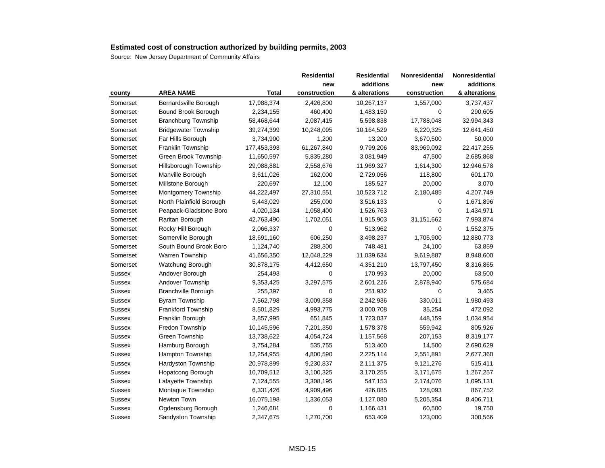|               |                             |              | Residential  | <b>Residential</b> | Nonresidential | Nonresidential |
|---------------|-----------------------------|--------------|--------------|--------------------|----------------|----------------|
|               |                             |              | new          | additions          | new            | additions      |
| county        | <b>AREA NAME</b>            | <b>Total</b> | construction | & alterations      | construction   | & alterations  |
| Somerset      | Bernardsville Borough       | 17,988,374   | 2,426,800    | 10,267,137         | 1,557,000      | 3,737,437      |
| Somerset      | Bound Brook Borough         | 2,234,155    | 460,400      | 1,483,150          | 0              | 290,605        |
| Somerset      | <b>Branchburg Township</b>  | 58,468,644   | 2,087,415    | 5,598,838          | 17,788,048     | 32,994,343     |
| Somerset      | <b>Bridgewater Township</b> | 39,274,399   | 10,248,095   | 10,164,529         | 6,220,325      | 12,641,450     |
| Somerset      | Far Hills Borough           | 3,734,900    | 1,200        | 13,200             | 3,670,500      | 50,000         |
| Somerset      | Franklin Township           | 177,453,393  | 61,267,840   | 9,799,206          | 83,969,092     | 22,417,255     |
| Somerset      | Green Brook Township        | 11,650,597   | 5,835,280    | 3,081,949          | 47,500         | 2,685,868      |
| Somerset      | Hillsborough Township       | 29,088,881   | 2,558,676    | 11,969,327         | 1,614,300      | 12,946,578     |
| Somerset      | Manville Borough            | 3,611,026    | 162,000      | 2,729,056          | 118,800        | 601,170        |
| Somerset      | Millstone Borough           | 220,697      | 12,100       | 185,527            | 20,000         | 3,070          |
| Somerset      | Montgomery Township         | 44,222,497   | 27,310,551   | 10,523,712         | 2,180,485      | 4,207,749      |
| Somerset      | North Plainfield Borough    | 5,443,029    | 255,000      | 3,516,133          | 0              | 1,671,896      |
| Somerset      | Peapack-Gladstone Boro      | 4,020,134    | 1,058,400    | 1,526,763          | $\overline{0}$ | 1,434,971      |
| Somerset      | Raritan Borough             | 42,763,490   | 1,702,051    | 1,915,903          | 31,151,662     | 7,993,874      |
| Somerset      | Rocky Hill Borough          | 2,066,337    | 0            | 513,962            | 0              | 1,552,375      |
| Somerset      | Somerville Borough          | 18,691,160   | 606,250      | 3,498,237          | 1,705,900      | 12,880,773     |
| Somerset      | South Bound Brook Boro      | 1,124,740    | 288,300      | 748,481            | 24,100         | 63,859         |
| Somerset      | Warren Township             | 41,656,350   | 12,048,229   | 11,039,634         | 9,619,887      | 8,948,600      |
| Somerset      | Watchung Borough            | 30,878,175   | 4,412,650    | 4,351,210          | 13,797,450     | 8,316,865      |
| Sussex        | Andover Borough             | 254,493      | $\mathbf 0$  | 170,993            | 20,000         | 63,500         |
| Sussex        | Andover Township            | 9,353,425    | 3,297,575    | 2,601,226          | 2,878,940      | 575,684        |
| Sussex        | <b>Branchville Borough</b>  | 255,397      | $\mathbf 0$  | 251,932            | 0              | 3,465          |
| Sussex        | <b>Byram Township</b>       | 7,562,798    | 3,009,358    | 2,242,936          | 330,011        | 1,980,493      |
| Sussex        | Frankford Township          | 8,501,829    | 4,993,775    | 3,000,708          | 35,254         | 472,092        |
| Sussex        | Franklin Borough            | 3,857,995    | 651,845      | 1,723,037          | 448,159        | 1,034,954      |
| Sussex        | Fredon Township             | 10,145,596   | 7,201,350    | 1,578,378          | 559,942        | 805,926        |
| Sussex        | <b>Green Township</b>       | 13,738,622   | 4,054,724    | 1,157,568          | 207,153        | 8,319,177      |
| Sussex        | Hamburg Borough             | 3,754,284    | 535,755      | 513,400            | 14,500         | 2,690,629      |
| Sussex        | Hampton Township            | 12,254,955   | 4,800,590    | 2,225,114          | 2,551,891      | 2,677,360      |
| Sussex        | Hardyston Township          | 20,978,899   | 9,230,837    | 2,111,375          | 9,121,276      | 515,411        |
| <b>Sussex</b> | Hopatcong Borough           | 10,709,512   | 3,100,325    | 3,170,255          | 3,171,675      | 1,267,257      |
| <b>Sussex</b> | Lafayette Township          | 7,124,555    | 3,308,195    | 547,153            | 2,174,076      | 1,095,131      |
| <b>Sussex</b> | Montague Township           | 6,331,426    | 4,909,496    | 426,085            | 128,093        | 867,752        |
| <b>Sussex</b> | Newton Town                 | 16,075,198   | 1,336,053    | 1,127,080          | 5,205,354      | 8,406,711      |
| <b>Sussex</b> | Ogdensburg Borough          | 1,246,681    | 0            | 1,166,431          | 60,500         | 19,750         |
| Sussex        | Sandyston Township          | 2,347,675    | 1,270,700    | 653,409            | 123,000        | 300,566        |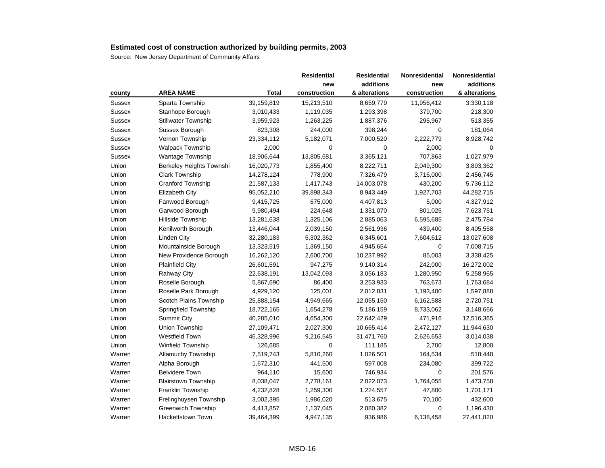|        |                            |              | <b>Residential</b> | <b>Residential</b> | Nonresidential | Nonresidential |
|--------|----------------------------|--------------|--------------------|--------------------|----------------|----------------|
|        |                            |              | new                | additions          | new            | additions      |
| county | <b>AREA NAME</b>           | <b>Total</b> | construction       | & alterations      | construction   | & alterations  |
| Sussex | Sparta Township            | 39,159,819   | 15,213,510         | 8,659,779          | 11,956,412     | 3,330,118      |
| Sussex | Stanhope Borough           | 3,010,433    | 1,119,035          | 1,293,398          | 379,700        | 218,300        |
| Sussex | <b>Stillwater Township</b> | 3,959,923    | 1,263,225          | 1,887,376          | 295,967        | 513,355        |
| Sussex | Sussex Borough             | 823,308      | 244,000            | 398,244            | 0              | 181,064        |
| Sussex | Vernon Township            | 23,334,112   | 5,182,071          | 7,000,520          | 2,222,779      | 8,928,742      |
| Sussex | <b>Walpack Township</b>    | 2,000        | 0                  | 0                  | 2,000          | 0              |
| Sussex | <b>Wantage Township</b>    | 18,906,644   | 13,805,681         | 3,365,121          | 707,863        | 1,027,979      |
| Union  | Berkeley Heights Townshi   | 16,020,773   | 1,855,400          | 8,222,711          | 2,049,300      | 3,893,362      |
| Union  | <b>Clark Township</b>      | 14,278,124   | 778,900            | 7,326,479          | 3,716,000      | 2,456,745      |
| Union  | <b>Cranford Township</b>   | 21,587,133   | 1,417,743          | 14,003,078         | 430,200        | 5,736,112      |
| Union  | Elizabeth City             | 95,052,210   | 39,898,343         | 8,943,449          | 1,927,703      | 44,282,715     |
| Union  | Fanwood Borough            | 9,415,725    | 675,000            | 4,407,813          | 5,000          | 4,327,912      |
| Union  | Garwood Borough            | 9,980,494    | 224,648            | 1,331,070          | 801,025        | 7,623,751      |
| Union  | Hillside Township          | 13,281,638   | 1,325,106          | 2,885,063          | 6,595,685      | 2,475,784      |
| Union  | Kenilworth Borough         | 13,446,044   | 2,039,150          | 2,561,936          | 439,400        | 8,405,558      |
| Union  | <b>Linden City</b>         | 32,280,183   | 5,302,362          | 6,345,601          | 7,604,612      | 13,027,608     |
| Union  | Mountainside Borough       | 13,323,519   | 1,369,150          | 4,945,654          | 0              | 7,008,715      |
| Union  | New Providence Borough     | 16,262,120   | 2,600,700          | 10,237,992         | 85,003         | 3,338,425      |
| Union  | <b>Plainfield City</b>     | 26,601,591   | 947,275            | 9,140,314          | 242,000        | 16,272,002     |
| Union  | <b>Rahway City</b>         | 22,638,191   | 13,042,093         | 3,056,183          | 1,280,950      | 5,258,965      |
| Union  | Roselle Borough            | 5,867,690    | 86,400             | 3,253,933          | 763,673        | 1,763,684      |
| Union  | Roselle Park Borough       | 4,929,120    | 125,001            | 2,012,831          | 1,193,400      | 1,597,888      |
| Union  | Scotch Plains Township     | 25,888,154   | 4,949,665          | 12,055,150         | 6,162,588      | 2,720,751      |
| Union  | Springfield Township       | 18,722,165   | 1,654,278          | 5,186,159          | 8,733,062      | 3,148,666      |
| Union  | <b>Summit City</b>         | 40,285,010   | 4,654,300          | 22,642,429         | 471,916        | 12,516,365     |
| Union  | Union Township             | 27,109,471   | 2,027,300          | 10,665,414         | 2,472,127      | 11,944,630     |
| Union  | <b>Westfield Town</b>      | 46,328,996   | 9,216,545          | 31,471,760         | 2,626,653      | 3,014,038      |
| Union  | Winfield Township          | 126,685      | 0                  | 111,185            | 2,700          | 12,800         |
| Warren | <b>Allamuchy Township</b>  | 7,519,743    | 5,810,260          | 1,026,501          | 164,534        | 518,448        |
| Warren | Alpha Borough              | 1,672,310    | 441,500            | 597,008            | 234,080        | 399,722        |
| Warren | <b>Belvidere Town</b>      | 964,110      | 15,600             | 746,934            | $\mathbf 0$    | 201,576        |
| Warren | <b>Blairstown Township</b> | 8,038,047    | 2,778,161          | 2,022,073          | 1,764,055      | 1,473,758      |
| Warren | Franklin Township          | 4,232,828    | 1,259,300          | 1,224,557          | 47,800         | 1,701,171      |
| Warren | Frelinghuysen Township     | 3,002,395    | 1,986,020          | 513,675            | 70,100         | 432,600        |
| Warren | Greenwich Township         | 4,413,857    | 1,137,045          | 2,080,382          | $\mathbf 0$    | 1,196,430      |
| Warren | <b>Hackettstown Town</b>   | 39,464,399   | 4,947,135          | 936,986            | 6,138,458      | 27,441,820     |